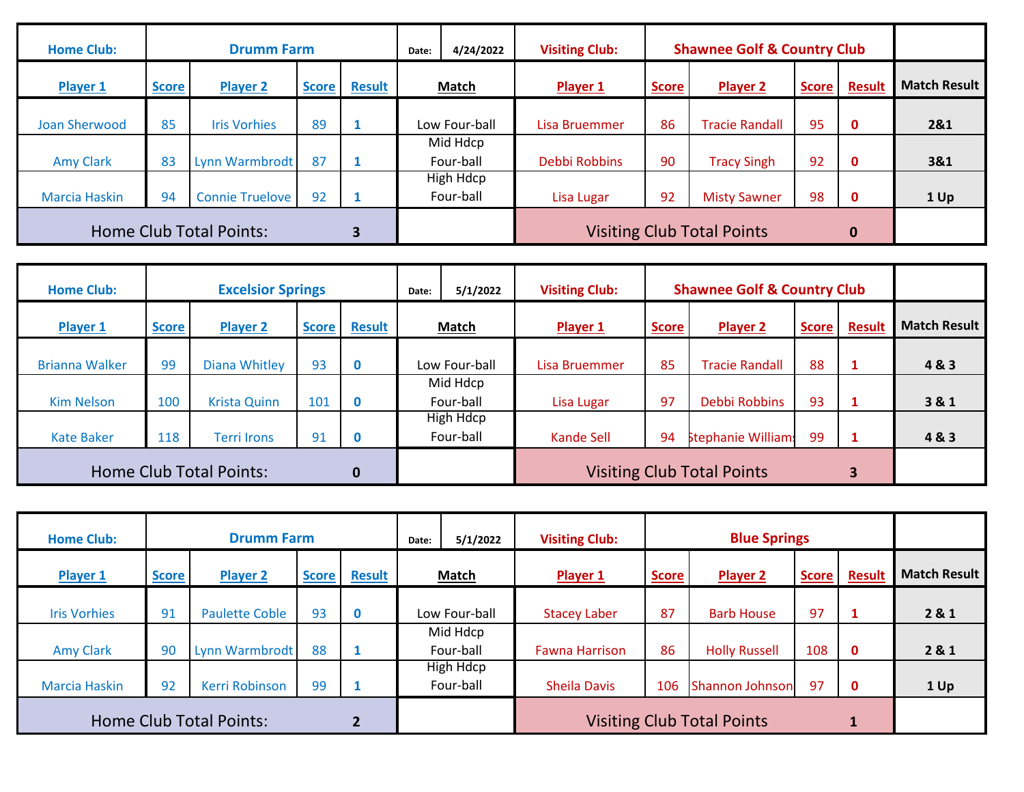| <b>Home Club:</b>              |              | <b>Drumm Farm</b>      |              |               | Date: | 4/24/2022              | <b>Visiting Club:</b> |                                   |                       |              |               |                     |
|--------------------------------|--------------|------------------------|--------------|---------------|-------|------------------------|-----------------------|-----------------------------------|-----------------------|--------------|---------------|---------------------|
| Player 1                       | <b>Score</b> | <b>Player 2</b>        | <b>Score</b> | <b>Result</b> |       | <b>Match</b>           | Player 1              | <b>Score</b>                      | <b>Player 2</b>       | <b>Score</b> | <b>Result</b> | <b>Match Result</b> |
| Joan Sherwood                  | 85           | <b>Iris Vorhies</b>    | 89           |               |       | Low Four-ball          | Lisa Bruemmer         | 86                                | <b>Tracie Randall</b> | 95           | $\mathbf 0$   | 2&1                 |
| <b>Amy Clark</b>               | 83           | Lynn Warmbrodt         | 87           |               |       | Mid Hdcp<br>Four-ball  | Debbi Robbins         | 90                                | <b>Tracy Singh</b>    | 92           | $\mathbf 0$   | 3&1                 |
| <b>Marcia Haskin</b>           | 94           | <b>Connie Truelove</b> | 92           |               |       | High Hdcp<br>Four-ball | Lisa Lugar            | 92                                | <b>Misty Sawner</b>   | 98           | $\mathbf 0$   | 1 Up                |
| <b>Home Club Total Points:</b> |              |                        |              |               |       |                        |                       | <b>Visiting Club Total Points</b> |                       | $\bf{0}$     |               |                     |

| <b>Home Club:</b>                          |              | <b>Excelsior Springs</b> |              |               | Date:         | 5/1/2022                      | <b>Visiting Club:</b> |              | <b>Shawnee Golf &amp; Country Club</b> |              |        |                     |
|--------------------------------------------|--------------|--------------------------|--------------|---------------|---------------|-------------------------------|-----------------------|--------------|----------------------------------------|--------------|--------|---------------------|
| Player 1                                   | <b>Score</b> | <b>Player 2</b>          | <b>Score</b> | <b>Result</b> | <b>Match</b>  |                               | Player 1              | <b>Score</b> | <b>Player 2</b>                        | <b>Score</b> | Result | <b>Match Result</b> |
| <b>Brianna Walker</b>                      | 99           | Diana Whitley            | 93           | $\bf{0}$      | Low Four-ball |                               | Lisa Bruemmer         | 85           | <b>Tracie Randall</b>                  | 88           | 1      | 4&3                 |
| <b>Kim Nelson</b>                          | 100          | <b>Krista Quinn</b>      | 101          | $\mathbf 0$   |               | Mid Hdcp<br>Four-ball         | Lisa Lugar            | 97           | Debbi Robbins                          | 93           |        | 3&1                 |
| <b>Kate Baker</b>                          | 118          | Terri Irons              | 91           | 0             |               | <b>High Hdcp</b><br>Four-ball | Kande Sell            | 94           | Stephanie William:                     | 99           |        | 4&3                 |
| <b>Home Club Total Points:</b><br>$\bf{0}$ |              |                          |              |               |               |                               |                       |              | <b>Visiting Club Total Points</b>      |              | 3      |                     |

| <b>Home Club:</b>       | <b>Drumm Farm</b> |                       |              |               | Date: | 5/1/2022               | <b>Visiting Club:</b>             | <b>Blue Springs</b> |                      |              |               |                     |
|-------------------------|-------------------|-----------------------|--------------|---------------|-------|------------------------|-----------------------------------|---------------------|----------------------|--------------|---------------|---------------------|
| Player 1                | <b>Score</b>      | <b>Player 2</b>       | <b>Score</b> | <b>Result</b> | Match |                        | Player 1                          | <b>Score</b>        | Player 2             | <b>Score</b> | <b>Result</b> | <b>Match Result</b> |
| <b>Iris Vorhies</b>     | 91                | <b>Paulette Coble</b> | 93           | $\mathbf 0$   |       | Low Four-ball          | <b>Stacey Laber</b>               | 87                  | <b>Barb House</b>    | 97           | 1             | 2 & 1               |
| <b>Amy Clark</b>        | 90                | Lynn Warmbrodt        | 88           |               |       | Mid Hdcp<br>Four-ball  | <b>Fawna Harrison</b>             | 86                  | <b>Holly Russell</b> | 108          | $\mathbf{0}$  | 2 & 1               |
| <b>Marcia Haskin</b>    | 92                | Kerri Robinson        | 99           |               |       | High Hdcp<br>Four-ball | <b>Sheila Davis</b>               | 106                 | Shannon Johnson      | 97           | $\mathbf 0$   | 1 Up                |
| Home Club Total Points: |                   |                       |              |               |       |                        | <b>Visiting Club Total Points</b> |                     |                      |              |               |                     |